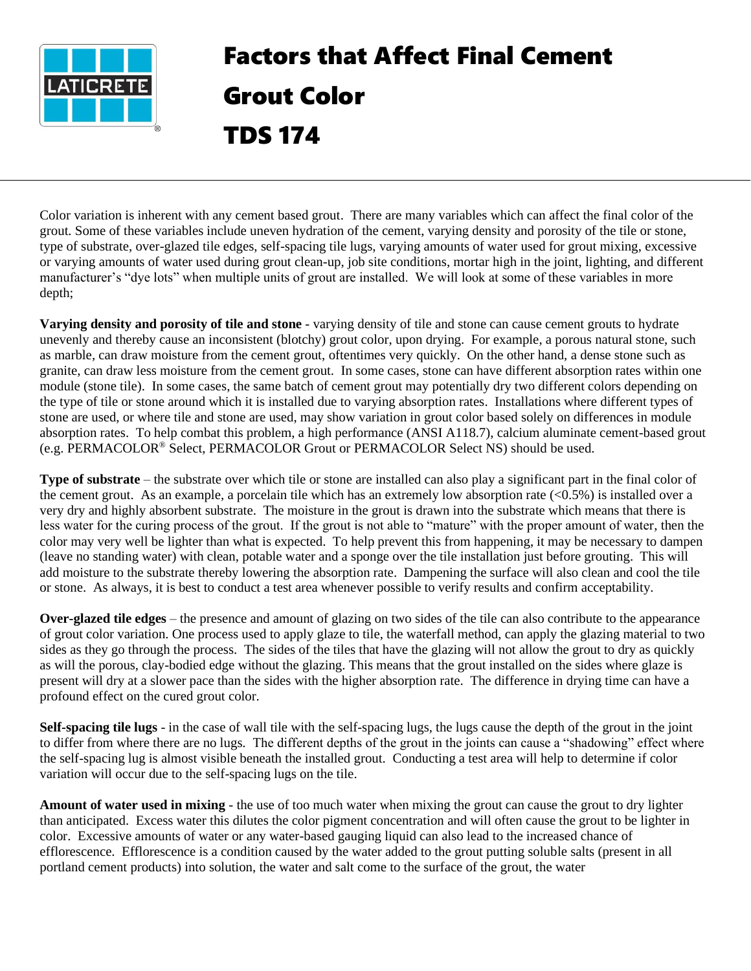

## Factors that Affect Final Cement Grout Color TDS 174

Color variation is inherent with any cement based grout. There are many variables which can affect the final color of the grout. Some of these variables include uneven hydration of the cement, varying density and porosity of the tile or stone, type of substrate, over-glazed tile edges, self-spacing tile lugs, varying amounts of water used for grout mixing, excessive or varying amounts of water used during grout clean-up, job site conditions, mortar high in the joint, lighting, and different manufacturer's "dye lots" when multiple units of grout are installed. We will look at some of these variables in more depth;

**Varying density and porosity of tile and stone** - varying density of tile and stone can cause cement grouts to hydrate unevenly and thereby cause an inconsistent (blotchy) grout color, upon drying. For example, a porous natural stone, such as marble, can draw moisture from the cement grout, oftentimes very quickly. On the other hand, a dense stone such as granite, can draw less moisture from the cement grout. In some cases, stone can have different absorption rates within one module (stone tile). In some cases, the same batch of cement grout may potentially dry two different colors depending on the type of tile or stone around which it is installed due to varying absorption rates. Installations where different types of stone are used, or where tile and stone are used, may show variation in grout color based solely on differences in module absorption rates. To help combat this problem, a high performance (ANSI A118.7), calcium aluminate cement-based grout (e.g. PERMACOLOR® Select, PERMACOLOR Grout or PERMACOLOR Select NS) should be used.

**Type of substrate** – the substrate over which tile or stone are installed can also play a significant part in the final color of the cement grout. As an example, a porcelain tile which has an extremely low absorption rate (<0.5%) is installed over a very dry and highly absorbent substrate. The moisture in the grout is drawn into the substrate which means that there is less water for the curing process of the grout. If the grout is not able to "mature" with the proper amount of water, then the color may very well be lighter than what is expected. To help prevent this from happening, it may be necessary to dampen (leave no standing water) with clean, potable water and a sponge over the tile installation just before grouting. This will add moisture to the substrate thereby lowering the absorption rate. Dampening the surface will also clean and cool the tile or stone. As always, it is best to conduct a test area whenever possible to verify results and confirm acceptability.

**Over-glazed tile edges** – the presence and amount of glazing on two sides of the tile can also contribute to the appearance of grout color variation. One process used to apply glaze to tile, the waterfall method, can apply the glazing material to two sides as they go through the process. The sides of the tiles that have the glazing will not allow the grout to dry as quickly as will the porous, clay-bodied edge without the glazing. This means that the grout installed on the sides where glaze is present will dry at a slower pace than the sides with the higher absorption rate. The difference in drying time can have a profound effect on the cured grout color.

**Self-spacing tile lugs** - in the case of wall tile with the self-spacing lugs, the lugs cause the depth of the grout in the joint to differ from where there are no lugs. The different depths of the grout in the joints can cause a "shadowing" effect where the self-spacing lug is almost visible beneath the installed grout. Conducting a test area will help to determine if color variation will occur due to the self-spacing lugs on the tile.

**Amount of water used in mixing** - the use of too much water when mixing the grout can cause the grout to dry lighter than anticipated. Excess water this dilutes the color pigment concentration and will often cause the grout to be lighter in color. Excessive amounts of water or any water-based gauging liquid can also lead to the increased chance of efflorescence. Efflorescence is a condition caused by the water added to the grout putting soluble salts (present in all portland cement products) into solution, the water and salt come to the surface of the grout, the water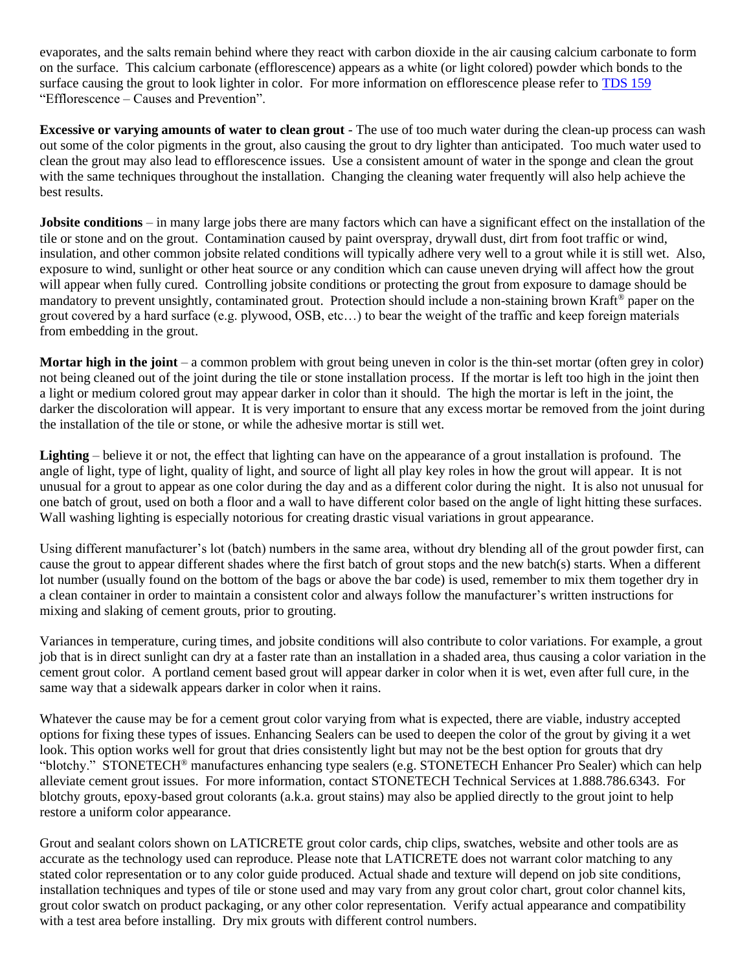evaporates, and the salts remain behind where they react with carbon dioxide in the air causing calcium carbonate to form on the surface. This calcium carbonate (efflorescence) appears as a white (or light colored) powder which bonds to the surface causing the grout to look lighter in color. For more information on efflorescence please refer to [TDS 159](https://cdn.laticrete.com/~/media/support-and-downloads/technical-datasheets/tds159.ashx) "Efflorescence – Causes and Prevention".

**Excessive or varying amounts of water to clean grout** - The use of too much water during the clean-up process can wash out some of the color pigments in the grout, also causing the grout to dry lighter than anticipated. Too much water used to clean the grout may also lead to efflorescence issues. Use a consistent amount of water in the sponge and clean the grout with the same techniques throughout the installation. Changing the cleaning water frequently will also help achieve the best results.

**Jobsite conditions** – in many large jobs there are many factors which can have a significant effect on the installation of the tile or stone and on the grout. Contamination caused by paint overspray, drywall dust, dirt from foot traffic or wind, insulation, and other common jobsite related conditions will typically adhere very well to a grout while it is still wet. Also, exposure to wind, sunlight or other heat source or any condition which can cause uneven drying will affect how the grout will appear when fully cured. Controlling jobsite conditions or protecting the grout from exposure to damage should be mandatory to prevent unsightly, contaminated grout. Protection should include a non-staining brown Kraft® paper on the grout covered by a hard surface (e.g. plywood, OSB, etc…) to bear the weight of the traffic and keep foreign materials from embedding in the grout.

**Mortar high in the joint** – a common problem with grout being uneven in color is the thin-set mortar (often grey in color) not being cleaned out of the joint during the tile or stone installation process. If the mortar is left too high in the joint then a light or medium colored grout may appear darker in color than it should. The high the mortar is left in the joint, the darker the discoloration will appear. It is very important to ensure that any excess mortar be removed from the joint during the installation of the tile or stone, or while the adhesive mortar is still wet.

**Lighting** – believe it or not, the effect that lighting can have on the appearance of a grout installation is profound. The angle of light, type of light, quality of light, and source of light all play key roles in how the grout will appear. It is not unusual for a grout to appear as one color during the day and as a different color during the night. It is also not unusual for one batch of grout, used on both a floor and a wall to have different color based on the angle of light hitting these surfaces. Wall washing lighting is especially notorious for creating drastic visual variations in grout appearance.

Using different manufacturer's lot (batch) numbers in the same area, without dry blending all of the grout powder first, can cause the grout to appear different shades where the first batch of grout stops and the new batch(s) starts. When a different lot number (usually found on the bottom of the bags or above the bar code) is used, remember to mix them together dry in a clean container in order to maintain a consistent color and always follow the manufacturer's written instructions for mixing and slaking of cement grouts, prior to grouting.

Variances in temperature, curing times, and jobsite conditions will also contribute to color variations. For example, a grout job that is in direct sunlight can dry at a faster rate than an installation in a shaded area, thus causing a color variation in the cement grout color. A portland cement based grout will appear darker in color when it is wet, even after full cure, in the same way that a sidewalk appears darker in color when it rains.

Whatever the cause may be for a cement grout color varying from what is expected, there are viable, industry accepted options for fixing these types of issues. Enhancing Sealers can be used to deepen the color of the grout by giving it a wet look. This option works well for grout that dries consistently light but may not be the best option for grouts that dry "blotchy." STONETECH® manufactures enhancing type sealers (e.g. STONETECH Enhancer Pro Sealer) which can help alleviate cement grout issues. For more information, contact STONETECH Technical Services at 1.888.786.6343. For blotchy grouts, epoxy-based grout colorants (a.k.a. grout stains) may also be applied directly to the grout joint to help restore a uniform color appearance.

Grout and sealant colors shown on LATICRETE grout color cards, chip clips, swatches, website and other tools are as accurate as the technology used can reproduce. Please note that LATICRETE does not warrant color matching to any stated color representation or to any color guide produced. Actual shade and texture will depend on job site conditions, installation techniques and types of tile or stone used and may vary from any grout color chart, grout color channel kits, grout color swatch on product packaging, or any other color representation. Verify actual appearance and compatibility with a test area before installing. Dry mix grouts with different control numbers.